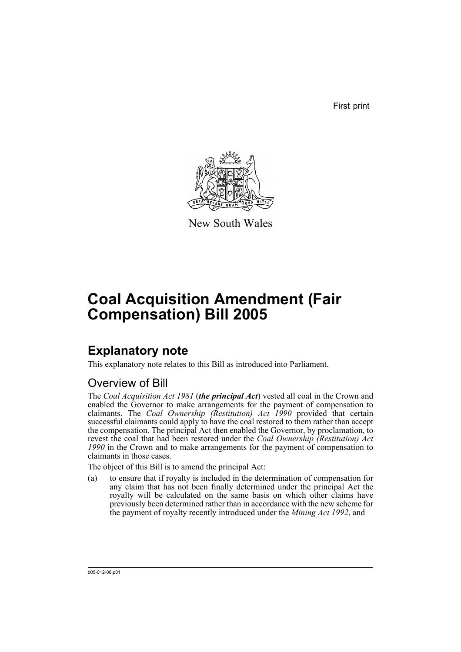First print



New South Wales

# **Coal Acquisition Amendment (Fair Compensation) Bill 2005**

## **Explanatory note**

This explanatory note relates to this Bill as introduced into Parliament.

### Overview of Bill

The *Coal Acquisition Act 1981* (*the principal Act*) vested all coal in the Crown and enabled the Governor to make arrangements for the payment of compensation to claimants. The *Coal Ownership (Restitution) Act 1990* provided that certain successful claimants could apply to have the coal restored to them rather than accept the compensation. The principal Act then enabled the Governor, by proclamation, to revest the coal that had been restored under the *Coal Ownership (Restitution) Act 1990* in the Crown and to make arrangements for the payment of compensation to claimants in those cases.

The object of this Bill is to amend the principal Act:

(a) to ensure that if royalty is included in the determination of compensation for any claim that has not been finally determined under the principal Act the royalty will be calculated on the same basis on which other claims have previously been determined rather than in accordance with the new scheme for the payment of royalty recently introduced under the *Mining Act 1992*, and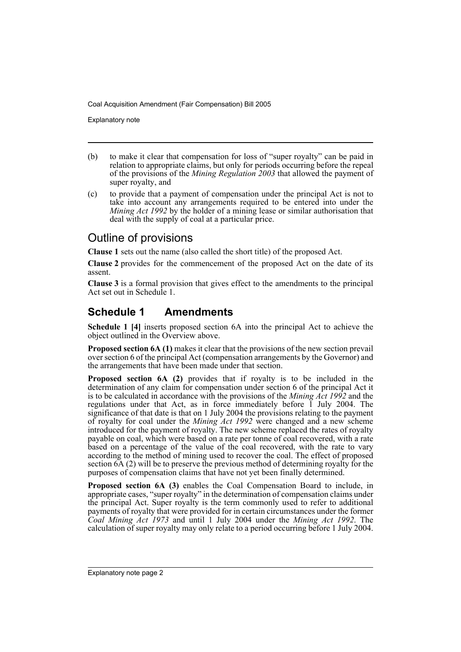Explanatory note

- (b) to make it clear that compensation for loss of "super royalty" can be paid in relation to appropriate claims, but only for periods occurring before the repeal of the provisions of the *Mining Regulation 2003* that allowed the payment of super royalty, and
- (c) to provide that a payment of compensation under the principal Act is not to take into account any arrangements required to be entered into under the *Mining Act 1992* by the holder of a mining lease or similar authorisation that deal with the supply of coal at a particular price.

#### Outline of provisions

**Clause 1** sets out the name (also called the short title) of the proposed Act.

**Clause 2** provides for the commencement of the proposed Act on the date of its assent.

**Clause 3** is a formal provision that gives effect to the amendments to the principal Act set out in Schedule 1.

### **Schedule 1 Amendments**

**Schedule 1 [4]** inserts proposed section 6A into the principal Act to achieve the object outlined in the Overview above.

**Proposed section 6A (1)** makes it clear that the provisions of the new section prevail over section 6 of the principal Act (compensation arrangements by the Governor) and the arrangements that have been made under that section.

**Proposed section 6A (2)** provides that if royalty is to be included in the determination of any claim for compensation under section 6 of the principal Act it is to be calculated in accordance with the provisions of the *Mining Act 1992* and the regulations under that Act, as in force immediately before 1 July 2004. The significance of that date is that on 1 July 2004 the provisions relating to the payment of royalty for coal under the *Mining Act 1992* were changed and a new scheme introduced for the payment of royalty. The new scheme replaced the rates of royalty payable on coal, which were based on a rate per tonne of coal recovered, with a rate based on a percentage of the value of the coal recovered, with the rate to vary according to the method of mining used to recover the coal. The effect of proposed section 6A (2) will be to preserve the previous method of determining royalty for the purposes of compensation claims that have not yet been finally determined.

**Proposed section 6A (3)** enables the Coal Compensation Board to include, in appropriate cases, "super royalty" in the determination of compensation claims under the principal Act. Super royalty is the term commonly used to refer to additional payments of royalty that were provided for in certain circumstances under the former *Coal Mining Act 1973* and until 1 July 2004 under the *Mining Act 1992*. The calculation of super royalty may only relate to a period occurring before 1 July 2004.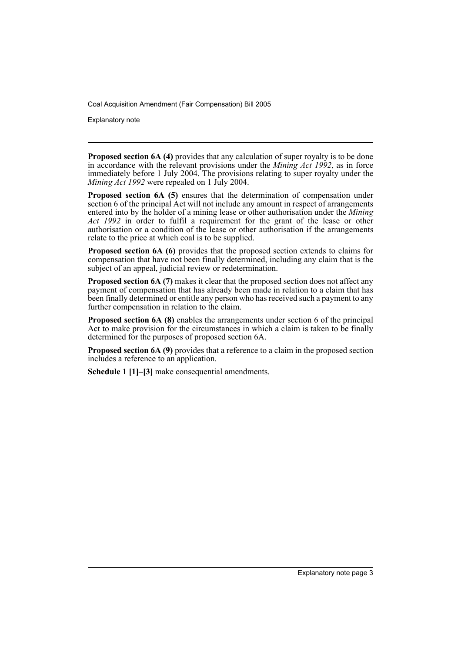Explanatory note

**Proposed section 6A (4)** provides that any calculation of super royalty is to be done in accordance with the relevant provisions under the *Mining Act 1992*, as in force immediately before 1 July 2004. The provisions relating to super royalty under the *Mining Act 1992* were repealed on 1 July 2004.

**Proposed section 6A (5)** ensures that the determination of compensation under section 6 of the principal Act will not include any amount in respect of arrangements entered into by the holder of a mining lease or other authorisation under the *Mining Act 1992* in order to fulfil a requirement for the grant of the lease or other authorisation or a condition of the lease or other authorisation if the arrangements relate to the price at which coal is to be supplied.

**Proposed section 6A (6)** provides that the proposed section extends to claims for compensation that have not been finally determined, including any claim that is the subject of an appeal, judicial review or redetermination.

**Proposed section 6A (7)** makes it clear that the proposed section does not affect any payment of compensation that has already been made in relation to a claim that has been finally determined or entitle any person who has received such a payment to any further compensation in relation to the claim.

**Proposed section 6A (8)** enables the arrangements under section 6 of the principal Act to make provision for the circumstances in which a claim is taken to be finally determined for the purposes of proposed section 6A.

**Proposed section 6A (9)** provides that a reference to a claim in the proposed section includes a reference to an application.

**Schedule 1 [1]–[3]** make consequential amendments.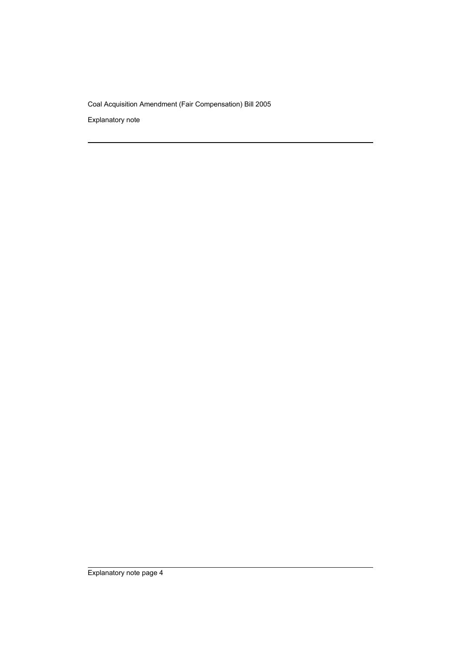Explanatory note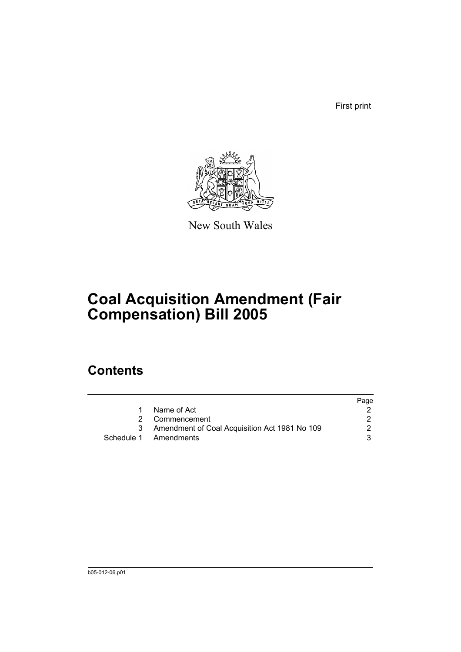First print



New South Wales

# **Coal Acquisition Amendment (Fair Compensation) Bill 2005**

## **Contents**

|    |                                                 | Page |
|----|-------------------------------------------------|------|
| 1. | Name of Act                                     |      |
|    | 2 Commencement                                  |      |
|    | 3 Amendment of Coal Acquisition Act 1981 No 109 |      |
|    | Schedule 1 Amendments                           |      |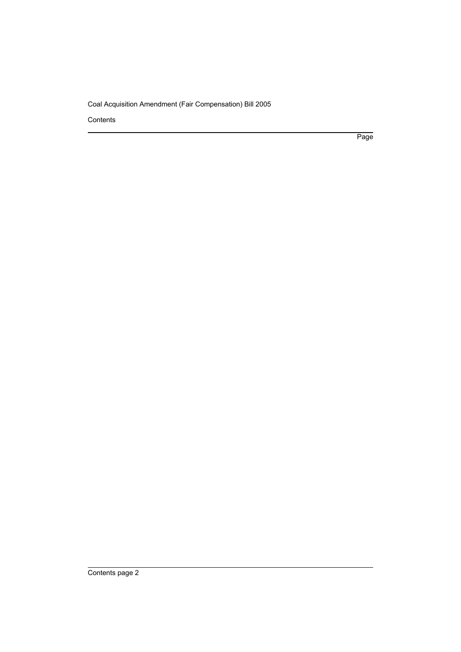**Contents** 

Page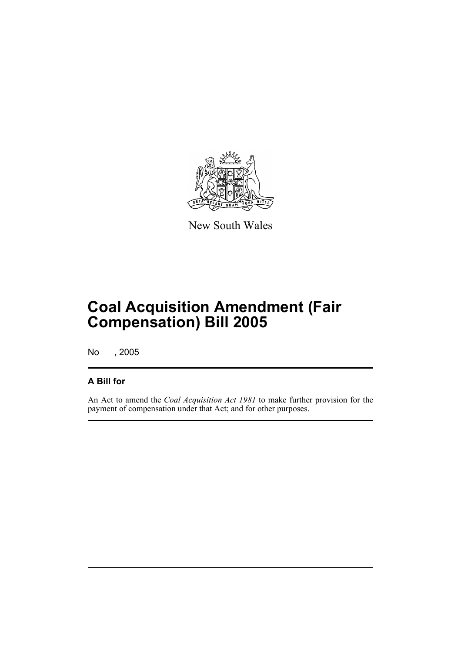

New South Wales

# **Coal Acquisition Amendment (Fair Compensation) Bill 2005**

No , 2005

#### **A Bill for**

An Act to amend the *Coal Acquisition Act 1981* to make further provision for the payment of compensation under that Act; and for other purposes.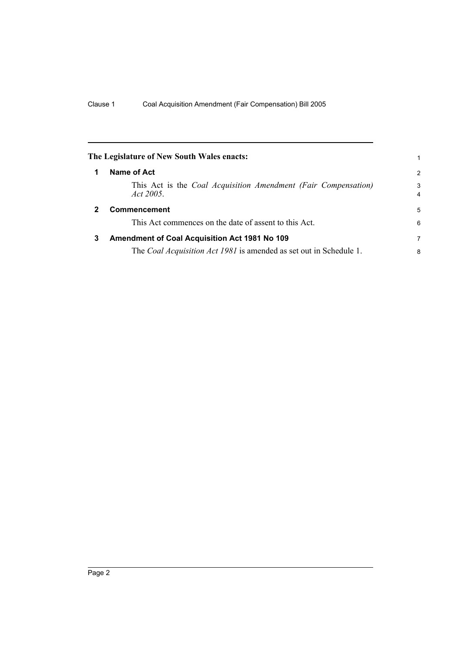<span id="page-7-2"></span><span id="page-7-1"></span><span id="page-7-0"></span>

|              | The Legislature of New South Wales enacts:                                         |                |
|--------------|------------------------------------------------------------------------------------|----------------|
| 1            | Name of Act                                                                        | $\overline{2}$ |
|              | This Act is the <i>Coal Acquisition Amendment (Fair Compensation)</i><br>Act 2005. | 3<br>4         |
| $\mathbf{2}$ | Commencement                                                                       | 5              |
|              | This Act commences on the date of assent to this Act.                              | 6              |
| 3            | Amendment of Coal Acquisition Act 1981 No 109                                      | 7              |
|              | The Coal Acquisition Act 1981 is amended as set out in Schedule 1.                 | 8              |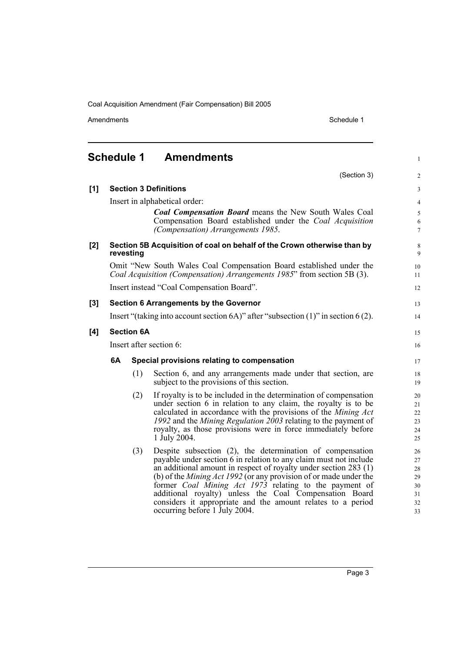Amendments Schedule 1

(Section 3)

1

2

#### <span id="page-8-0"></span>**Schedule 1 Amendments**

| [1] |                                           |                   | <b>Section 3 Definitions</b>                                                                                                                                                                                                                                                                                                                                                                                                                                                                | $\mathfrak{Z}$                               |
|-----|-------------------------------------------|-------------------|---------------------------------------------------------------------------------------------------------------------------------------------------------------------------------------------------------------------------------------------------------------------------------------------------------------------------------------------------------------------------------------------------------------------------------------------------------------------------------------------|----------------------------------------------|
|     |                                           |                   | Insert in alphabetical order:                                                                                                                                                                                                                                                                                                                                                                                                                                                               | $\overline{4}$                               |
|     |                                           |                   | <b>Coal Compensation Board</b> means the New South Wales Coal<br>Compensation Board established under the Coal Acquisition<br>(Compensation) Arrangements 1985.                                                                                                                                                                                                                                                                                                                             | $\sqrt{5}$<br>$\sqrt{6}$<br>$7\overline{ }$  |
| [2] |                                           | revesting         | Section 5B Acquisition of coal on behalf of the Crown otherwise than by                                                                                                                                                                                                                                                                                                                                                                                                                     | $\,8\,$<br>9                                 |
|     |                                           |                   | Omit "New South Wales Coal Compensation Board established under the<br>Coal Acquisition (Compensation) Arrangements 1985" from section 5B (3).                                                                                                                                                                                                                                                                                                                                              | 10<br>11                                     |
|     | Insert instead "Coal Compensation Board". |                   |                                                                                                                                                                                                                                                                                                                                                                                                                                                                                             | 12                                           |
| [3] |                                           |                   | <b>Section 6 Arrangements by the Governor</b>                                                                                                                                                                                                                                                                                                                                                                                                                                               | 13                                           |
|     |                                           |                   | Insert "(taking into account section $6A$ )" after "subsection $(1)$ " in section $6(2)$ .                                                                                                                                                                                                                                                                                                                                                                                                  | 14                                           |
| [4] |                                           | <b>Section 6A</b> |                                                                                                                                                                                                                                                                                                                                                                                                                                                                                             | 15                                           |
|     | Insert after section 6:                   |                   |                                                                                                                                                                                                                                                                                                                                                                                                                                                                                             | 16                                           |
|     | 6A                                        |                   | Special provisions relating to compensation                                                                                                                                                                                                                                                                                                                                                                                                                                                 | 17                                           |
|     |                                           | (1)               | Section 6, and any arrangements made under that section, are<br>subject to the provisions of this section.                                                                                                                                                                                                                                                                                                                                                                                  | 18<br>19                                     |
|     |                                           | (2)               | If royalty is to be included in the determination of compensation<br>under section 6 in relation to any claim, the royalty is to be<br>calculated in accordance with the provisions of the Mining Act<br>1992 and the Mining Regulation 2003 relating to the payment of<br>royalty, as those provisions were in force immediately before<br>1 July 2004.                                                                                                                                    | 20<br>21<br>22<br>23<br>24<br>25             |
|     |                                           | (3)               | Despite subsection (2), the determination of compensation<br>payable under section 6 in relation to any claim must not include<br>an additional amount in respect of royalty under section 283 (1)<br>(b) of the Mining Act 1992 (or any provision of or made under the<br>former Coal Mining Act 1973 relating to the payment of<br>additional royalty) unless the Coal Compensation Board<br>considers it appropriate and the amount relates to a period<br>occurring before 1 July 2004. | 26<br>27<br>28<br>29<br>30<br>31<br>32<br>33 |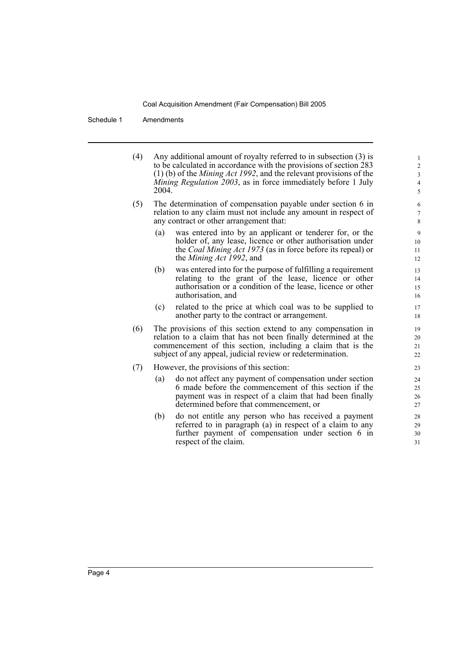Schedule 1 Amendments

- (4) Any additional amount of royalty referred to in subsection (3) is to be calculated in accordance with the provisions of section 283 (1) (b) of the *Mining Act 1992*, and the relevant provisions of the *Mining Regulation 2003*, as in force immediately before 1 July 2004.
- (5) The determination of compensation payable under section 6 in relation to any claim must not include any amount in respect of any contract or other arrangement that:
	- (a) was entered into by an applicant or tenderer for, or the holder of, any lease, licence or other authorisation under the *Coal Mining Act 1973* (as in force before its repeal) or the *Mining Act 1992*, and

- (b) was entered into for the purpose of fulfilling a requirement relating to the grant of the lease, licence or other authorisation or a condition of the lease, licence or other authorisation, and
- (c) related to the price at which coal was to be supplied to another party to the contract or arrangement.
- (6) The provisions of this section extend to any compensation in relation to a claim that has not been finally determined at the commencement of this section, including a claim that is the subject of any appeal, judicial review or redetermination.
- (7) However, the provisions of this section:
	- (a) do not affect any payment of compensation under section 6 made before the commencement of this section if the payment was in respect of a claim that had been finally determined before that commencement, or
	- (b) do not entitle any person who has received a payment referred to in paragraph (a) in respect of a claim to any further payment of compensation under section 6 in respect of the claim.